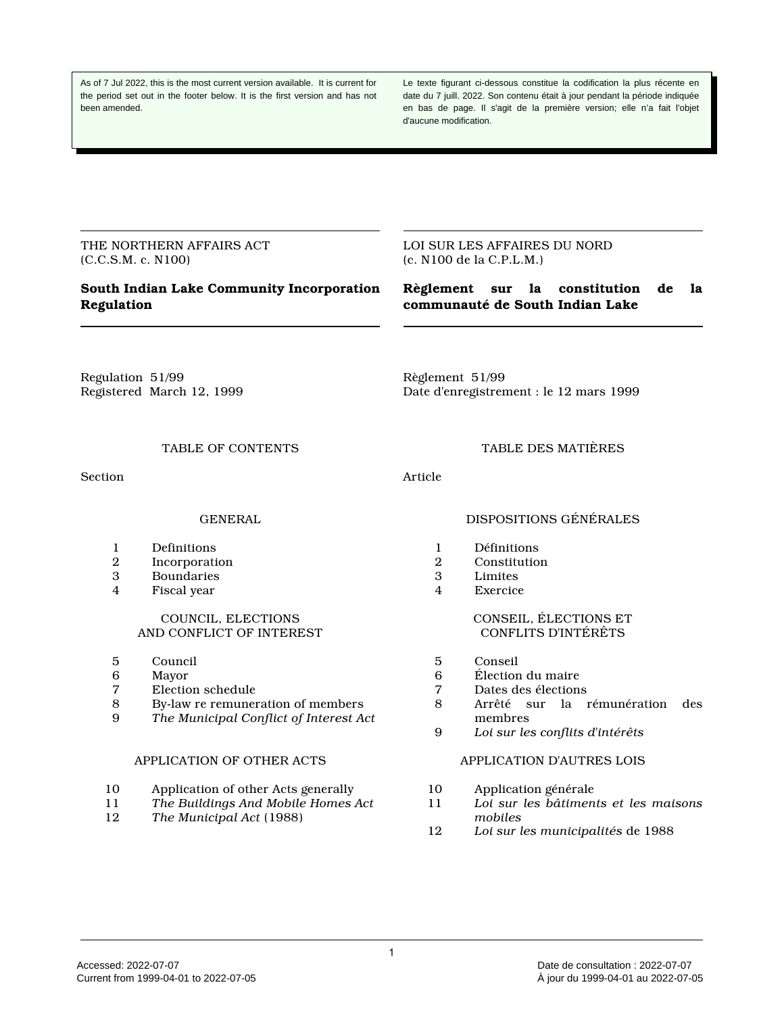As of 7 Jul 2022, this is the most current version available. It is current for the period set out in the footer below. It is the first version and has not been amended.

Le texte figurant ci-dessous constitue la codification la plus récente en date du 7 juill. 2022. Son contenu était à jour pendant la période indiquée en bas de page. Il s'agit de la première version; elle n'a fait l'objet d'aucune modification.

THE NORTHERN AFFAIRS ACT (C.C.S.M. c. N100)

# **South Indian Lake Community Incorporation Regulation**

LOI SUR LES AFFAIRES DU NORD (c. N100 de la C.P.L.M.)

# **Règlement sur la constitution de la communauté de South Indian Lake**

Regulation 51/99 Registered March 12, 1999 Règlement 51/99 Date d'enregistrement : le 12 mars 1999

TABLE OF CONTENTS

Section

# GENERAL

- 1 Definitions<br>2 Incorporati
- **Incorporation**
- 3 Boundaries<br>4 Fiscal vear
- Fiscal year

#### COUNCIL, ELECTIONS AND CONFLICT OF INTEREST

- 5 Council
- 6 Mayor<br>7 Electio
- Election schedule
- 8 By-law re remuneration of members<br>9 The Municipal Conflict of Interest Act
- 9 *The Municipal Conflict of Interest Act*

# APPLICATION OF OTHER ACTS

- 10 Application of other Acts generally
- 11 *The Buildings And Mobile Homes Act*
- 12 *The Municipal Act* (1988)

# DISPOSITIONS GÉNÉRALES

TABLE DES MATIÈRES

- 1 Définitions<br>2 Constitution
- **Constitution**
- 3 Limites<br>4 Exercice

Article

**Exercice** 

## CONSEIL, ÉLECTIONS ET CONFLITS D'INTÉRÊTS

- 5 Conseil
- 6 Élection du maire<br>7 Dates des élections
- 7 Dates des élections
- 8 Arrêté sur la rémunération des membres
- 9 *Loi sur les conflits d'intérêts*

# APPLICATION D'AUTRES LOIS

- 10 Application générale<br>11 Loi sur les bâtimen
- 11 *Loi sur les bâtiments et les maisons mobiles*
- 12 *Loi sur les municipalités* de 1988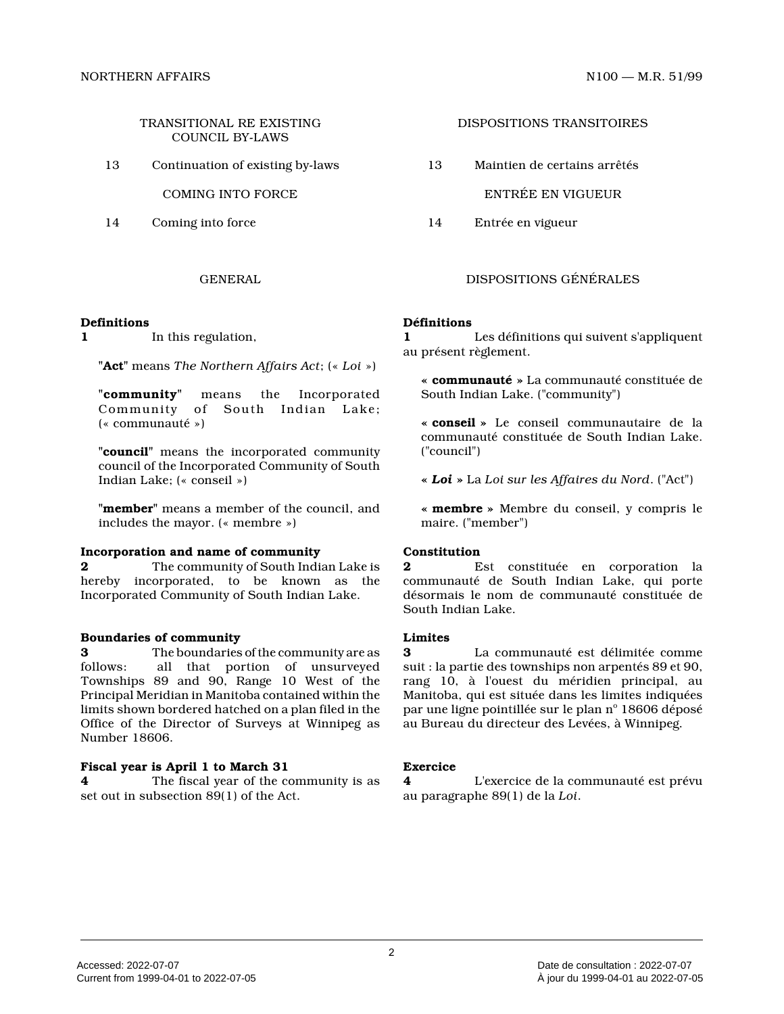TRANSITIONAL RE EXISTING COUNCIL BY-LAWS

13 Continuation of existing by-laws

COMING INTO FORCE

14 Coming into force

#### **Definitions**

**1** In this regulation,

**"Act"** means *The Northern Affairs Act*; (« *Loi* »)

**"community"** means the Incorporated Community of South Indian Lake; (« communauté »)

**"council"** means the incorporated community council of the Incorporated Community of South Indian Lake; (« conseil »)

**"member"** means a member of the council, and includes the mayor. (« membre »)

#### **Incorporation and name of community**

**2** The community of South Indian Lake is hereby incorporated, to be known as the Incorporated Community of South Indian Lake.

#### **Boundaries of community**

**3** The boundaries of the community are as follows: all that portion of unsurveyed Townships 89 and 90, Range 10 West of the Principal Meridian in Manitoba contained within the limits shown bordered hatched on a plan filed in th e Office of the Director of Surveys at Winnipeg as Number 18606.

# **Fiscal year is April 1 to March 31**

**4** The fiscal year of the community is as set out in subsection 89(1) of the Act.

#### DISPOSITIONS TRANSITOIRES

13 Maintien de certains arrêtés

ENTRÉE EN VIGUEUR

14 Entrée en vigueur

# GENERAL DISPOSITIONS GÉNÉRALES

#### **Définitions**

**1** Les définitions qui suivent s'appliquent au présent règlement.

**« communauté »** La communauté constituée de South Indian Lake. ("community")

**« conseil »** Le conseil communautaire de la communauté constituée de South Indian Lake. ("council")

**«** *Loi* **»** La *Loi sur les Affaires du Nord*. ("Act")

**« membre »** Membre du conseil, y compris le maire. ("member")

### **Constitution**

**2** Est constituée en corporation la communauté de South Indian Lake, qui porte désormais le nom de communauté constituée de South Indian Lake.

#### **Limites**

**3** La communauté est délimitée comme suit : la partie des townships non arpentés 89 et 90, rang 10, à l'ouest du méridien principal, au Manitoba, qui est située dans les limites indiquées par une ligne pointillée sur le plan n° 18606 déposé au Bureau du directeur des Levées, à Winnipeg.

#### **Exercice**

**4** L'exercice de la communauté est prévu au paragraphe 89(1) de la *Loi* .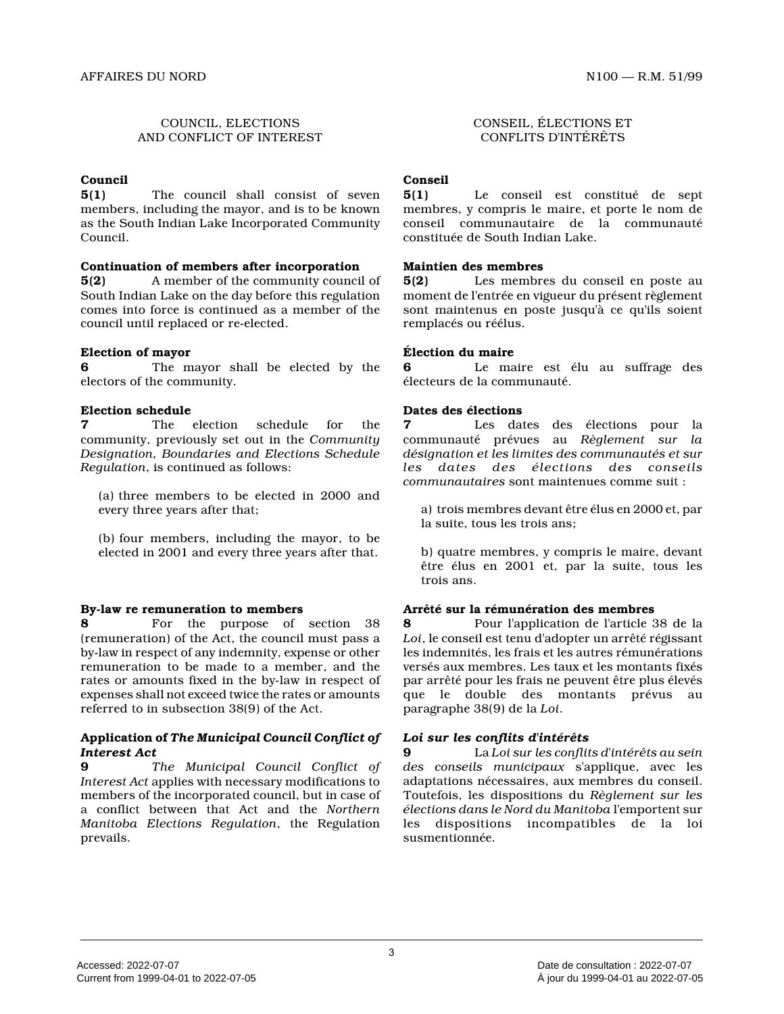# COUNCIL, ELECTIONS AND CONFLICT OF INTEREST

# **Council**

**5(1)** The council shall consist of seven members, including the mayor, and is to be known as the South Indian Lake Incorporated Community Council.

## **Continuation of members after incorporation**

**5(2)** A member of the community council of South Indian Lake on the day before this regulation comes into force is continued as a member of the council until replaced or re-elected.

# **Election of mayor**

**6** The mayor shall be elected by the electors of the community.

# **Election schedule**<br> **7** The

**7** The election schedule for the community, previously set out in the *Community Designation, Boundaries and Elections Schedule Regulation*, is continued as follows:

(a) three members to be elected in 2000 and every three years after that;

(b) four members, including the mayor, to be elected in 2001 and every three years after that.

# **By-law re remuneration to members**

**8** For the purpose of section 38 (remuneration) of the Act, the council must pass a by-law in respect of any indemnity, expense or othe r remuneration to be made to a member, and the rates or amounts fixed in the by-law in respect of expenses shall not exceed twice the rates or amount s referred to in subsection 38(9) of the Act.

## **Application of** *The Municipal Council Conflict of Interest Act*

**9** *The Municipal Council Conflict of Interest Act* applies with necessary modifications to members of the incorporated council, but in case of a conflict between that Act and the *Northern Manitoba Elections Regulation*, the Regulation prevails.

CONSEIL, ÉLECTIONS ET CONFLITS D'INTÉRÊTS

# **Conseil**

**5(1)** Le conseil est constitué de sept membres, y compris le maire, et porte le nom de conseil communautaire de la communauté constituée de South Indian Lake.

# **Maintien des membres**

**5(2)** Les membres du conseil en poste au moment de l'entrée en vigueur du présent règlement sont maintenus en poste jusqu'à ce qu'ils soient remplacés ou réélus.

# **Élection du maire**

**6** Le maire est élu au suffrage des électeurs de la communauté.

# **Dates des élections**

Les dates des élections pour la communauté prévues au *Règlement sur la désignation et les limites des communautés et sur les dates des élections des conseils communautaires* sont maintenues comme suit :

a) trois membres devant être élus en 2000 et, par la suite, tous les trois ans;

b) quatre membres, y compris le maire, devant être élus en 2001 et, par la suite, tous les trois ans.

# **Arrêté sur la rémunération des membres**

**8** Pour l'application de l'article 38 de la *Loi*, le conseil est tenu d'adopter un arrêté régissant les indemnités, les frais et les autres rémunérations versés aux membres. Les taux et les montants fixés par arrêté pour les frais ne peuvent être plus élevés que le double des montants prévus au paragraphe 38(9) de la *Loi* .

# *Loi sur les conflits d'intérêts*

**9** La *Loi sur les conflits d'intérêts au sein des conseils municipaux* s'applique, avec les adaptations nécessaires, aux membres du conseil. Toutefois, les dispositions du *Règlement sur les élections dans le Nord du Manitoba* l'emportent sur les dispositions incompatibles de la loi susmentionnée.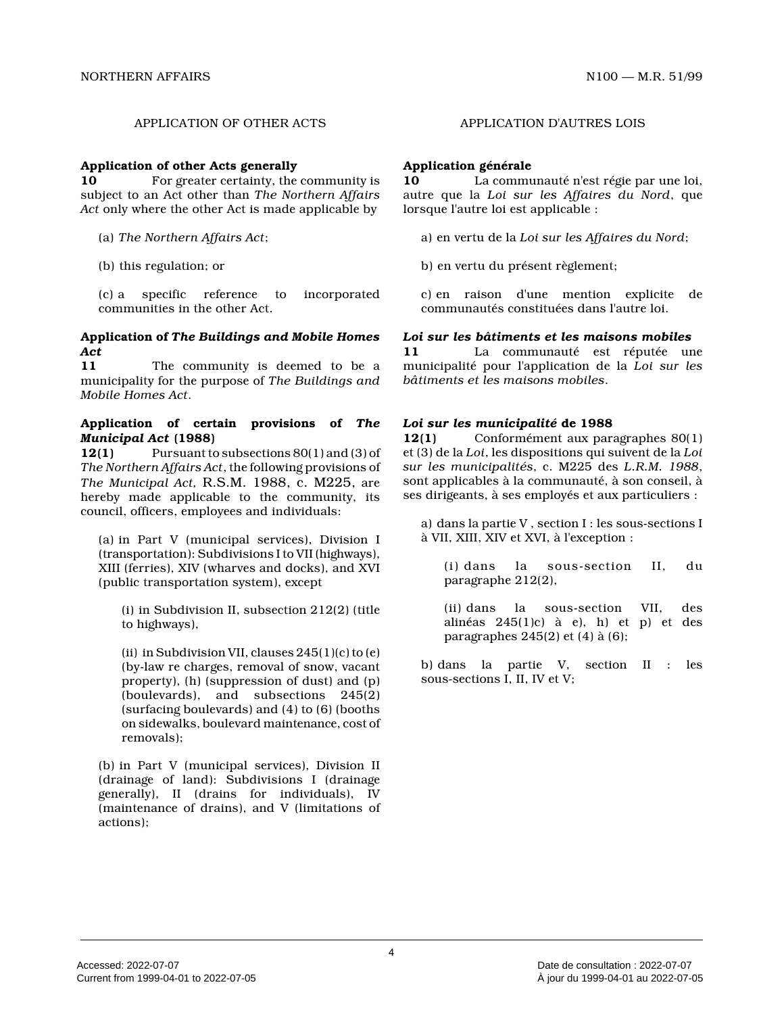#### **Application of other Acts generally**

**10** For greater certainty, the community is subject to an Act other than *The Northern Affairs Act* only where the other Act is made applicable by

(a) *The Northern Affairs Act* ;

(b) this regulation; or

(c) a specific reference to incorporated communities in the other Act.

### **Application of** *The Buildings and Mobile Homes Act*

**11** The community is deemed to be a municipality for the purpose of *The Buildings and Mobile Homes Act* .

### **Application of certain provisions of** *The Municipal Act* **(1988)**

**12(1)** Pursuant to subsections 80(1) and (3) of *The Northern Affairs Act*, the following provisions of *The Municipal Act,* R.S.M. 1988, c. M225, are hereby made applicable to the community, its council, officers, employees and individuals:

(a) in Part V (municipal services), Division I (transportation): Subdivisions I to VII (highways), XIII (ferries), XIV (wharves and docks), and XVI (public transportation system), except

(i) in Subdivision II, subsection 212(2) (title to highways),

(ii) in Subdivision VII, clauses 245(1)(c) to (e) (by-law re charges, removal of snow, vacant property), (h) (suppression of dust) and (p) (boulevards), and subsections 245(2) (surfacing boulevards) and (4) to (6) (booths on sidewalks, boulevard maintenance, cost of removals);

(b) in Part V (municipal services), Division II (drainage of land): Subdivisions I (drainage generally), II (drains for individuals), IV (maintenance of drains), and V (limitations of actions);

#### APPLICATION OF OTHER ACTS APPLICATION D'AUTRES LOIS

# **Application générale**

**10** La communauté n'est régie par une loi, autre que la *Loi sur les Affaires du Nord*, que lorsque l'autre loi est applicable :

a) en vertu de la *Loi sur les Affaires du Nord* ;

b) en vertu du présent règlement;

c) en raison d'une mention explicite de communautés constituées dans l'autre loi.

### *Loi sur les bâtiments et les maisons mobiles*

**11** La communauté est réputée une municipalité pour l'application de la *Loi sur les bâtiments et les maisons mobiles* .

## *Loi sur les municipalité* **de 1988**

**12(1)** Conformément aux paragraphes 80(1) et (3) de la *Loi*, les dispositions qui suivent de la *Loi sur les municipalités*, c. M225 des *L.R.M. 1988* , sont applicables à la communauté, à son conseil, à ses dirigeants, à ses employés et aux particuliers :

a) dans la partie V , section I : les sous-sections I à VII, XIII, XIV et XVI, à l'exception :

(i) dans la sous-section II, du paragraphe 212(2),

(ii) dans la sous-section VII, des alinéas  $245(1)c$  à e), h) et p) et des paragraphes 245(2) et (4) à (6);

b) dans la partie V, section II : les sous-sections I, II, IV et V;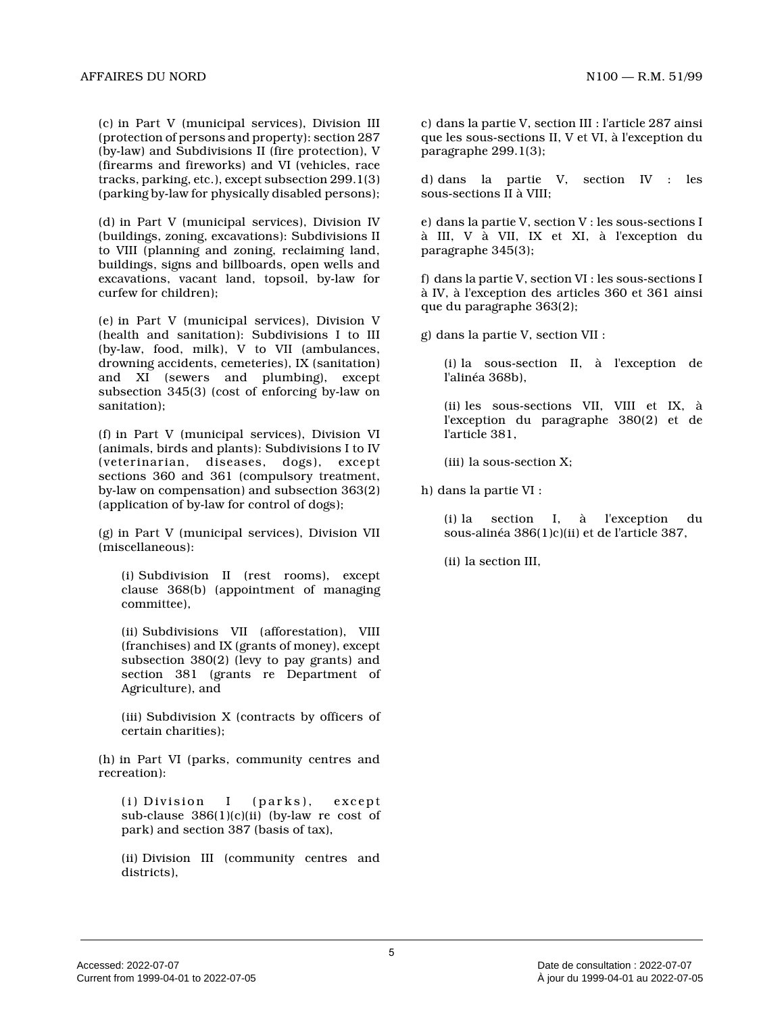(c) in Part V (municipal services), Division III (protection of persons and property): section 287 (by-law) and Subdivisions II (fire protection), V (firearms and fireworks) and VI (vehicles, race tracks, parking, etc.), except subsection 299.1(3) (parking by-law for physically disabled persons);

(d) in Part V (municipal services), Division IV (buildings, zoning, excavations): Subdivisions II to VIII (planning and zoning, reclaiming land, buildings, signs and billboards, open wells and excavations, vacant land, topsoil, by-law for curfew for children);

(e) in Part V (municipal services), Division V (health and sanitation): Subdivisions I to III (by-law, food, milk), V to VII (ambulances, drowning accidents, cemeteries), IX (sanitation) and XI (sewers and plumbing), except subsection 345(3) (cost of enforcing by-law on sanitation);

(f) in Part V (municipal services), Division VI (animals, birds and plants): Subdivisions I to IV (veterinarian, diseases, dogs), except sections 360 and 361 (compulsory treatment, by-law on compensation) and subsection 363(2) (application of by-law for control of dogs);

(g) in Part V (municipal services), Division VII (miscellaneous):

(i) Subdivision II (rest rooms), except clause 368(b) (appointment of managing committee),

(ii) Subdivisions VII (afforestation), VIII (franchises) and IX (grants of money), except subsection 380(2) (levy to pay grants) and section 381 (grants re Department of Agriculture), and

(iii) Subdivision X (contracts by officers of certain charities);

(h) in Part VI (parks, community centres and recreation):

(i) Division I (parks), except sub-clause 386(1)(c)(ii) (by-law re cost of park) and section 387 (basis of tax),

(ii) Division III (community centres and districts),

c) dans la partie V, section III : l'article 287 ainsi que les sous-sections II, V et VI, à l'exception du paragraphe 299.1(3);

d) dans la partie V, section IV : les sous-sections II à VIII;

e) dans la partie V, section V : les sous-sections I à III, V à VII, IX et XI, à l'exception du paragraphe 345(3);

f) dans la partie V, section VI : les sous-sections I à IV, à l'exception des articles 360 et 361 ainsi que du paragraphe 363(2);

g) dans la partie V, section VII :

(i) la sous-section II, à l'exception de l'alinéa 368b),

(ii) les sous-sections VII, VIII et IX, à l'exception du paragraphe 380(2) et de l'article 381,

(iii) la sous-section X;

h) dans la partie VI :

(i) la section I, à l'exception du sous-alinéa 386(1)c)(ii) et de l'article 387,

(ii) la section III,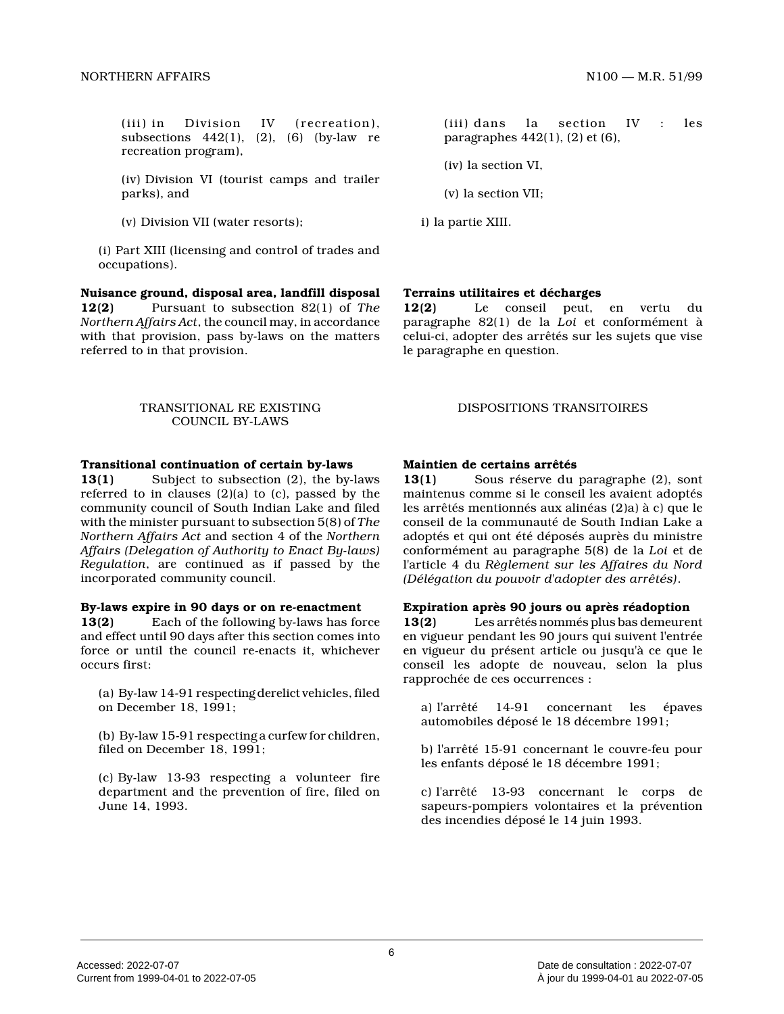(iii) in Division IV (recreation), subsections  $442(1)$ ,  $(2)$ ,  $(6)$  (by-law re recreation program),

(iv) Division VI (tourist camps and trailer parks), and

(v) Division VII (water resorts);

(i) Part XIII (licensing and control of trades and occupations).

**Nuisance ground, disposal area, landfill disposal 12(2)** Pursuant to subsection 82(1) of *The Northern Affairs Act*, the council may, in accordance with that provision, pass by-laws on the matters referred to in that provision.

### TRANSITIONAL RE EXISTING COUNCIL BY-LAWS

## **Transitional continuation of certain by-laws**

**13(1)** Subject to subsection (2), the by-laws referred to in clauses  $(2)(a)$  to  $(c)$ , passed by the community council of South Indian Lake and filed with the minister pursuant to subsection 5(8) of *The Northern Affairs Act* and section 4 of the *Northern Affairs (Delegation of Authority to Enact By-laws) Regulation*, are continued as if passed by the incorporated community council.

#### **By-laws expire in 90 days or on re-enactment**

**13(2)** Each of the following by-laws has force and effect until 90 days after this section comes into force or until the council re-enacts it, whichever occurs first:

(a) By-law 14-91 respecting derelict vehicles, filed on December 18, 1991;

(b) By-law 15-91 respecting a curfew for children, filed on December 18, 1991;

(c) By-law 13-93 respecting a volunteer fire department and the prevention of fire, filed on June 14, 1993.

(iii) dans la section IV : les paragraphes 442(1), (2) et (6),

(iv) la section VI,

(v) la section VII;

i) la partie XIII.

# **Terrains utilitaires et décharges**

**12(2)** Le conseil peut, en vertu du paragraphe 82(1) de la *Loi* et conformément à celui-ci, adopter des arrêtés sur les sujets que vise le paragraphe en question.

## DISPOSITIONS TRANSITOIRES

# **Maintien de certains arrêtés**

**13(1)** Sous réserve du paragraphe (2), sont maintenus comme si le conseil les avaient adoptés les arrêtés mentionnés aux alinéas (2)a) à c) que l e conseil de la communauté de South Indian Lake a adoptés et qui ont été déposés auprès du ministre conformément au paragraphe 5(8) de la *Loi* et de l'article 4 du *Règlement sur les Affaires du Nord (Délégation du pouvoir d'adopter des arrêtés)* .

#### **Expiration après 90 jours ou après réadoption**

**13(2)** Les arrêtés nommés plus bas demeurent en vigueur pendant les 90 jours qui suivent l'entré e en vigueur du présent article ou jusqu'à ce que le conseil les adopte de nouveau, selon la plus rapprochée de ces occurrences :

a) l'arrêté 14-91 concernant les épaves automobiles déposé le 18 décembre 1991;

b) l'arrêté 15-91 concernant le couvre-feu pour les enfants déposé le 18 décembre 1991;

c) l'arrêté 13-93 concernant le corps de sapeurs-pompiers volontaires et la prévention des incendies déposé le 14 juin 1993.